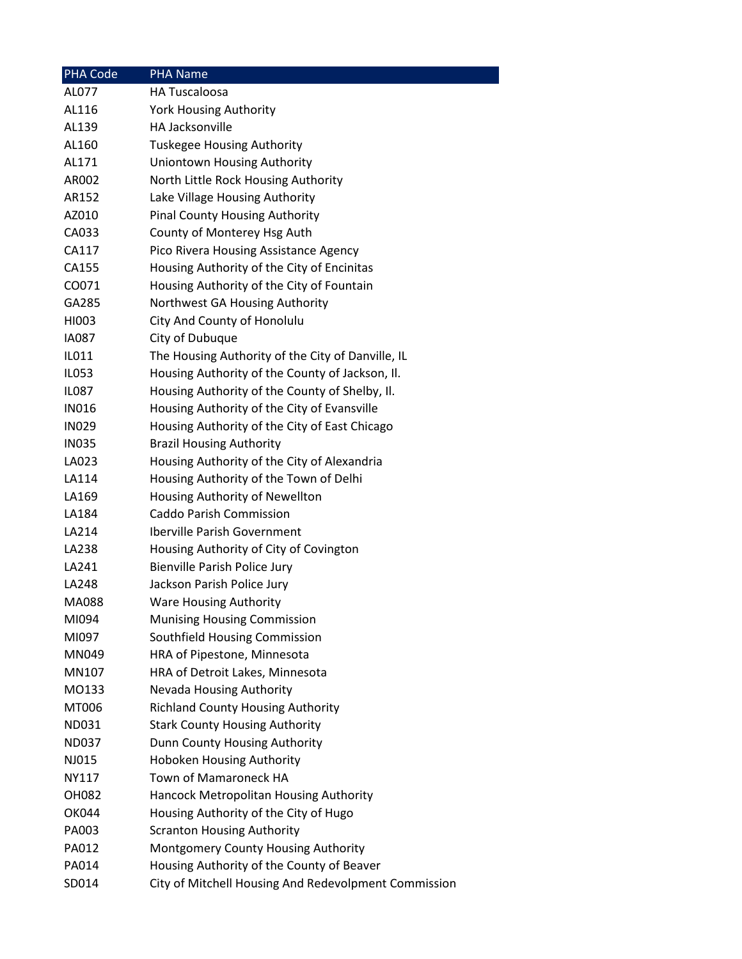| <b>PHA Code</b> | <b>PHA Name</b>                                      |
|-----------------|------------------------------------------------------|
| AL077           | <b>HA Tuscaloosa</b>                                 |
| AL116           | <b>York Housing Authority</b>                        |
| AL139           | HA Jacksonville                                      |
| AL160           | <b>Tuskegee Housing Authority</b>                    |
| AL171           | Uniontown Housing Authority                          |
| AR002           | North Little Rock Housing Authority                  |
| AR152           | Lake Village Housing Authority                       |
| AZ010           | <b>Pinal County Housing Authority</b>                |
| CA033           | County of Monterey Hsg Auth                          |
| CA117           | Pico Rivera Housing Assistance Agency                |
| CA155           | Housing Authority of the City of Encinitas           |
| CO071           | Housing Authority of the City of Fountain            |
| GA285           | Northwest GA Housing Authority                       |
| HI003           | City And County of Honolulu                          |
| <b>IA087</b>    | City of Dubuque                                      |
| IL011           | The Housing Authority of the City of Danville, IL    |
| <b>IL053</b>    | Housing Authority of the County of Jackson, Il.      |
| IL087           | Housing Authority of the County of Shelby, Il.       |
| <b>IN016</b>    | Housing Authority of the City of Evansville          |
| <b>IN029</b>    | Housing Authority of the City of East Chicago        |
| <b>IN035</b>    | <b>Brazil Housing Authority</b>                      |
| LA023           | Housing Authority of the City of Alexandria          |
| LA114           | Housing Authority of the Town of Delhi               |
| LA169           | Housing Authority of Newellton                       |
| LA184           | Caddo Parish Commission                              |
| LA214           | <b>Iberville Parish Government</b>                   |
| LA238           | Housing Authority of City of Covington               |
| LA241           | Bienville Parish Police Jury                         |
| LA248           | Jackson Parish Police Jury                           |
| <b>MA088</b>    | <b>Ware Housing Authority</b>                        |
| MI094           | <b>Munising Housing Commission</b>                   |
| MI097           | Southfield Housing Commission                        |
| MN049           | HRA of Pipestone, Minnesota                          |
| MN107           | HRA of Detroit Lakes, Minnesota                      |
| MO133           | Nevada Housing Authority                             |
| MT006           | <b>Richland County Housing Authority</b>             |
| ND031           | <b>Stark County Housing Authority</b>                |
| ND037           | Dunn County Housing Authority                        |
| NJ015           | <b>Hoboken Housing Authority</b>                     |
| NY117           | Town of Mamaroneck HA                                |
| OH082           | Hancock Metropolitan Housing Authority               |
| <b>OK044</b>    | Housing Authority of the City of Hugo                |
| PA003           | <b>Scranton Housing Authority</b>                    |
| PA012           | Montgomery County Housing Authority                  |
| PA014           | Housing Authority of the County of Beaver            |
| SD014           | City of Mitchell Housing And Redevolpment Commission |